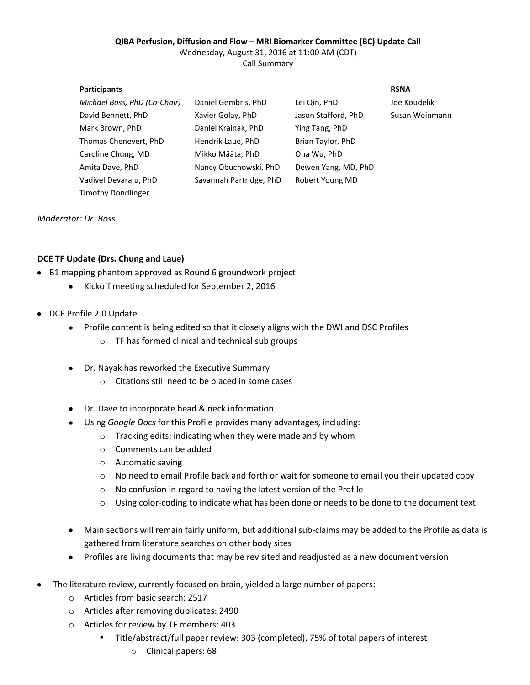### **QIBA Perfusion, Diffusion and Flow – MRI Biomarker Committee (BC) Update Call** Wednesday, August 31, 2016 at 11:00 AM (CDT) Call Summary

| <b>Participants</b>          |                         |                     | <b>RSNA</b>    |
|------------------------------|-------------------------|---------------------|----------------|
| Michael Boss, PhD (Co-Chair) | Daniel Gembris, PhD     | Lei Qin, PhD        | Joe Koudelik   |
| David Bennett, PhD           | Xavier Golay, PhD       | Jason Stafford, PhD | Susan Weinmann |
| Mark Brown, PhD              | Daniel Krainak, PhD     | Ying Tang, PhD      |                |
| Thomas Chenevert, PhD        | Hendrik Laue, PhD       | Brian Taylor, PhD   |                |
| Caroline Chung, MD           | Mikko Määta, PhD        | Ona Wu, PhD         |                |
| Amita Dave, PhD              | Nancy Obuchowski, PhD   | Dewen Yang, MD, PhD |                |
| Vadivel Devaraju, PhD        | Savannah Partridge, PhD | Robert Young MD     |                |
| Timothy Dondlinger           |                         |                     |                |

*Moderator: Dr. Boss*

## **DCE TF Update (Drs. Chung and Laue)**

- B1 mapping phantom approved as Round 6 groundwork project
	- Kickoff meeting scheduled for September 2, 2016  $\bullet$
- DCE Profile 2.0 Update
	- Profile content is being edited so that it closely aligns with the DWI and DSC Profiles  $\bullet$ 
		- o TF has formed clinical and technical sub groups
	- Dr. Nayak has reworked the Executive Summary  $\bullet$ 
		- o Citations still need to be placed in some cases
	- Dr. Dave to incorporate head & neck information
	- Using *Google Docs* for this Profile provides many advantages, including:
		- o Tracking edits; indicating when they were made and by whom
		- o Comments can be added
		- o Automatic saving
		- o No need to email Profile back and forth or wait for someone to email you their updated copy
		- o No confusion in regard to having the latest version of the Profile
		- o Using color-coding to indicate what has been done or needs to be done to the document text
	- Main sections will remain fairly uniform, but additional sub-claims may be added to the Profile as data is gathered from literature searches on other body sites
	- Profiles are living documents that may be revisited and readjusted as a new document version
- The literature review, currently focused on brain, yielded a large number of papers:
	- o Articles from basic search: 2517
	- o Articles after removing duplicates: 2490
	- o Articles for review by TF members: 403
		- Title/abstract/full paper review: 303 (completed), 75% of total papers of interest
			- o Clinical papers: 68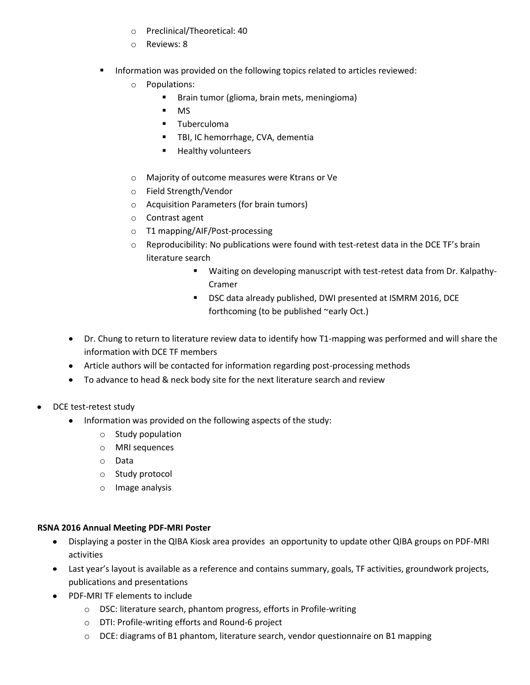- o Preclinical/Theoretical: 40
- o Reviews: 8
- Information was provided on the following topics related to articles reviewed:
	- o Populations:
		- **Brain tumor (glioma, brain mets, meningioma)**
		- MS
		- **Tuberculoma**
		- **TBI, IC hemorrhage, CVA, dementia**
		- **Healthy volunteers**
	- o Majority of outcome measures were Ktrans or Ve
	- o Field Strength/Vendor
	- o Acquisition Parameters (for brain tumors)
	- o Contrast agent
	- o T1 mapping/AIF/Post-processing
	- $\circ$  Reproducibility: No publications were found with test-retest data in the DCE TF's brain literature search
		- Waiting on developing manuscript with test-retest data from Dr. Kalpathy-Cramer
		- **DSC** data already published, DWI presented at ISMRM 2016, DCE forthcoming (to be published ~early Oct.)
- Dr. Chung to return to literature review data to identify how T1-mapping was performed and will share the information with DCE TF members
- Article authors will be contacted for information regarding post-processing methods
- To advance to head & neck body site for the next literature search and review  $\bullet$
- $\bullet$ DCE test-retest study
	- Information was provided on the following aspects of the study:
		- o Study population
		- o MRI sequences
		- o Data
		- o Study protocol
		- o Image analysis

# **RSNA 2016 Annual Meeting PDF-MRI Poster**

- Displaying a poster in the QIBA Kiosk area provides an opportunity to update other QIBA groups on PDF-MRI activities
- Last year's layout is available as a reference and contains summary, goals, TF activities, groundwork projects, publications and presentations
	- PDF-MRI TF elements to include
		- o DSC: literature search, phantom progress, efforts in Profile-writing
		- o DTI: Profile-writing efforts and Round-6 project
		- o DCE: diagrams of B1 phantom, literature search, vendor questionnaire on B1 mapping